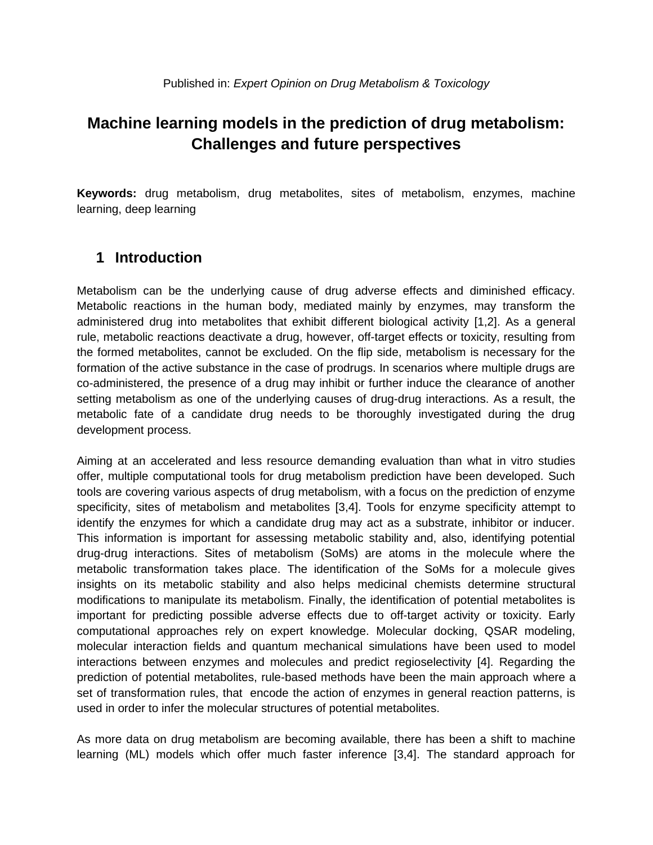## **Machine learning models in the prediction of drug metabolism: Challenges and future perspectives**

**Keywords:** drug metabolism, drug metabolites, sites of metabolism, enzymes, machine learning, deep learning

## **1 Introduction**

Metabolism can be the underlying cause of drug adverse effects and diminished efficacy. Metabolic reactions in the human body, mediated mainly by enzymes, may transform the administered drug into metabolites that exhibit different biological activity [1,2]. As a general rule, metabolic reactions deactivate a drug, however, off-target effects or toxicity, resulting from the formed metabolites, cannot be excluded. On the flip side, metabolism is necessary for the formation of the active substance in the case of prodrugs. In scenarios where multiple drugs are co-administered, the presence of a drug may inhibit or further induce the clearance of another setting metabolism as one of the underlying causes of drug-drug interactions. As a result, the metabolic fate of a candidate drug needs to be thoroughly investigated during the drug development process.

Aiming at an accelerated and less resource demanding evaluation than what in vitro studies offer, multiple computational tools for drug metabolism prediction have been developed. Such tools are covering various aspects of drug metabolism, with a focus on the prediction of enzyme specificity, sites of metabolism and metabolites [3,4]. Tools for enzyme specificity attempt to identify the enzymes for which a candidate drug may act as a substrate, inhibitor or inducer. This information is important for assessing metabolic stability and, also, identifying potential drug-drug interactions. Sites of metabolism (SoMs) are atoms in the molecule where the metabolic transformation takes place. The identification of the SoMs for a molecule gives insights on its metabolic stability and also helps medicinal chemists determine structural modifications to manipulate its metabolism. Finally, the identification of potential metabolites is important for predicting possible adverse effects due to off-target activity or toxicity. Early computational approaches rely on expert knowledge. Molecular docking, QSAR modeling, molecular interaction fields and quantum mechanical simulations have been used to model interactions between enzymes and molecules and predict regioselectivity [4]. Regarding the prediction of potential metabolites, rule-based methods have been the main approach where a set of transformation rules, that encode the action of enzymes in general reaction patterns, is used in order to infer the molecular structures of potential metabolites.

As more data on drug metabolism are becoming available, there has been a shift to machine learning (ML) models which offer much faster inference [3,4]. The standard approach for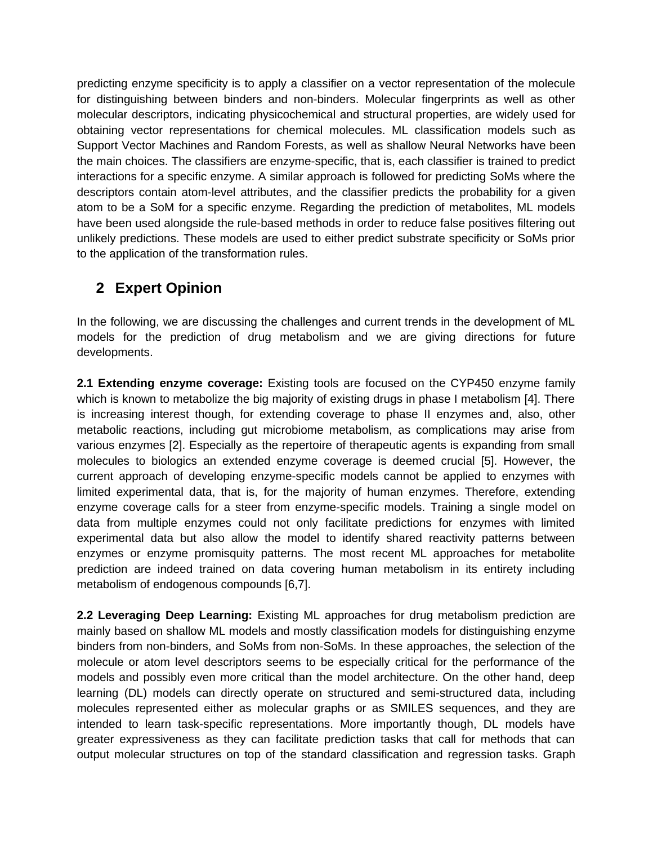predicting enzyme specificity is to apply a classifier on a vector representation of the molecule for distinguishing between binders and non-binders. Molecular fingerprints as well as other molecular descriptors, indicating physicochemical and structural properties, are widely used for obtaining vector representations for chemical molecules. ML classification models such as Support Vector Machines and Random Forests, as well as shallow Neural Networks have been the main choices. The classifiers are enzyme-specific, that is, each classifier is trained to predict interactions for a specific enzyme. A similar approach is followed for predicting SoMs where the descriptors contain atom-level attributes, and the classifier predicts the probability for a given atom to be a SoM for a specific enzyme. Regarding the prediction of metabolites, ML models have been used alongside the rule-based methods in order to reduce false positives filtering out unlikely predictions. These models are used to either predict substrate specificity or SoMs prior to the application of the transformation rules.

## **2 Expert Opinion**

In the following, we are discussing the challenges and current trends in the development of ML models for the prediction of drug metabolism and we are giving directions for future developments.

**2.1 Extending enzyme coverage:** Existing tools are focused on the CYP450 enzyme family which is known to metabolize the big majority of existing drugs in phase I metabolism [4]. There is increasing interest though, for extending coverage to phase II enzymes and, also, other metabolic reactions, including gut microbiome metabolism, as complications may arise from various enzymes [2]. Especially as the repertoire of therapeutic agents is expanding from small molecules to biologics an extended enzyme coverage is deemed crucial [5]. However, the current approach of developing enzyme-specific models cannot be applied to enzymes with limited experimental data, that is, for the majority of human enzymes. Therefore, extending enzyme coverage calls for a steer from enzyme-specific models. Training a single model on data from multiple enzymes could not only facilitate predictions for enzymes with limited experimental data but also allow the model to identify shared reactivity patterns between enzymes or enzyme promisquity patterns. The most recent ML approaches for metabolite prediction are indeed trained on data covering human metabolism in its entirety including metabolism of endogenous compounds [6,7].

**2.2 Leveraging Deep Learning:** Existing ML approaches for drug metabolism prediction are mainly based on shallow ML models and mostly classification models for distinguishing enzyme binders from non-binders, and SoMs from non-SoMs. In these approaches, the selection of the molecule or atom level descriptors seems to be especially critical for the performance of the models and possibly even more critical than the model architecture. On the other hand, deep learning (DL) models can directly operate on structured and semi-structured data, including molecules represented either as molecular graphs or as SMILES sequences, and they are intended to learn task-specific representations. More importantly though, DL models have greater expressiveness as they can facilitate prediction tasks that call for methods that can output molecular structures on top of the standard classification and regression tasks. Graph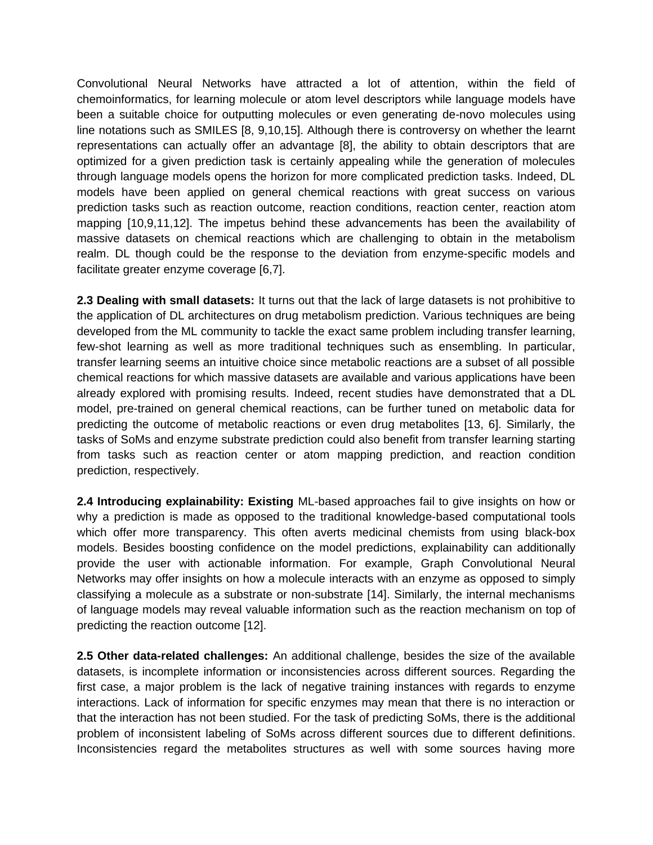Convolutional Neural Networks have attracted a lot of attention, within the field of chemoinformatics, for learning molecule or atom level descriptors while language models have been a suitable choice for outputting molecules or even generating de-novo molecules using line notations such as SMILES [8, 9,10,15]. Although there is controversy on whether the learnt representations can actually offer an advantage [8], the ability to obtain descriptors that are optimized for a given prediction task is certainly appealing while the generation of molecules through language models opens the horizon for more complicated prediction tasks. Indeed, DL models have been applied on general chemical reactions with great success on various prediction tasks such as reaction outcome, reaction conditions, reaction center, reaction atom mapping [10,9,11,12]. The impetus behind these advancements has been the availability of massive datasets on chemical reactions which are challenging to obtain in the metabolism realm. DL though could be the response to the deviation from enzyme-specific models and facilitate greater enzyme coverage [6,7].

**2.3 Dealing with small datasets:** It turns out that the lack of large datasets is not prohibitive to the application of DL architectures on drug metabolism prediction. Various techniques are being developed from the ML community to tackle the exact same problem including transfer learning, few-shot learning as well as more traditional techniques such as ensembling. In particular, transfer learning seems an intuitive choice since metabolic reactions are a subset of all possible chemical reactions for which massive datasets are available and various applications have been already explored with promising results. Indeed, recent studies have demonstrated that a DL model, pre-trained on general chemical reactions, can be further tuned on metabolic data for predicting the outcome of metabolic reactions or even drug metabolites [13, 6]. Similarly, the tasks of SoMs and enzyme substrate prediction could also benefit from transfer learning starting from tasks such as reaction center or atom mapping prediction, and reaction condition prediction, respectively.

**2.4 Introducing explainability: Existing** ML-based approaches fail to give insights on how or why a prediction is made as opposed to the traditional knowledge-based computational tools which offer more transparency. This often averts medicinal chemists from using black-box models. Besides boosting confidence on the model predictions, explainability can additionally provide the user with actionable information. For example, Graph Convolutional Neural Networks may offer insights on how a molecule interacts with an enzyme as opposed to simply classifying a molecule as a substrate or non-substrate [14]. Similarly, the internal mechanisms of language models may reveal valuable information such as the reaction mechanism on top of predicting the reaction outcome [12].

**2.5 Other data-related challenges:** An additional challenge, besides the size of the available datasets, is incomplete information or inconsistencies across different sources. Regarding the first case, a major problem is the lack of negative training instances with regards to enzyme interactions. Lack of information for specific enzymes may mean that there is no interaction or that the interaction has not been studied. For the task of predicting SoMs, there is the additional problem of inconsistent labeling of SoMs across different sources due to different definitions. Inconsistencies regard the metabolites structures as well with some sources having more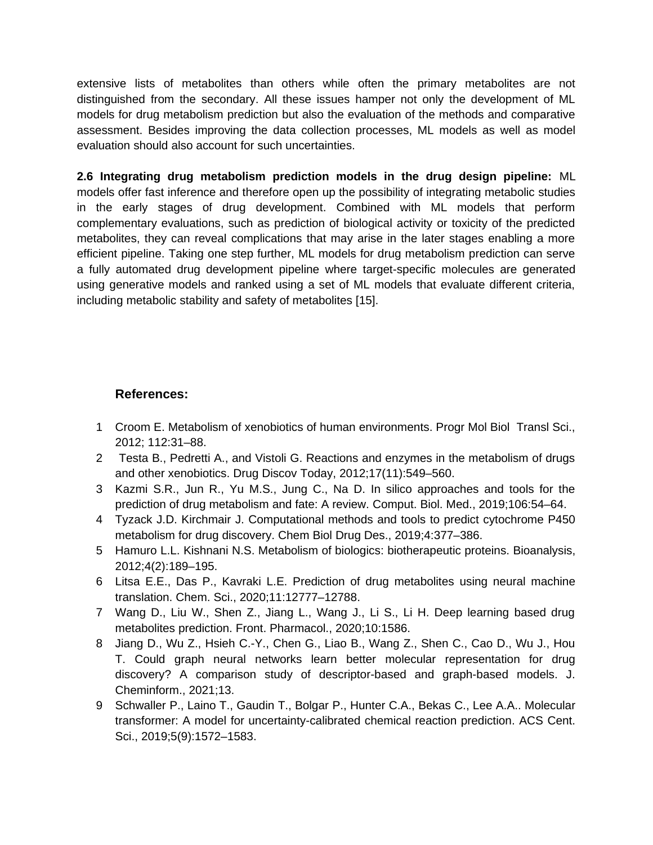extensive lists of metabolites than others while often the primary metabolites are not distinguished from the secondary. All these issues hamper not only the development of ML models for drug metabolism prediction but also the evaluation of the methods and comparative assessment. Besides improving the data collection processes, ML models as well as model evaluation should also account for such uncertainties.

**2.6 Integrating drug metabolism prediction models in the drug design pipeline:** ML models offer fast inference and therefore open up the possibility of integrating metabolic studies in the early stages of drug development. Combined with ML models that perform complementary evaluations, such as prediction of biological activity or toxicity of the predicted metabolites, they can reveal complications that may arise in the later stages enabling a more efficient pipeline. Taking one step further, ML models for drug metabolism prediction can serve a fully automated drug development pipeline where target-specific molecules are generated using generative models and ranked using a set of ML models that evaluate different criteria, including metabolic stability and safety of metabolites [15].

## **References:**

- 1 Croom E. Metabolism of xenobiotics of human environments. Progr Mol Biol Transl Sci., 2012; 112:31–88.
- 2 Testa B., Pedretti A., and Vistoli G. Reactions and enzymes in the metabolism of drugs and other xenobiotics. Drug Discov Today, 2012;17(11):549–560.
- 3 Kazmi S.R., Jun R., Yu M.S., Jung C., Na D. In silico approaches and tools for the prediction of drug metabolism and fate: A review. Comput. Biol. Med., 2019;106:54–64.
- 4 Tyzack J.D. Kirchmair J. Computational methods and tools to predict cytochrome P450 metabolism for drug discovery. Chem Biol Drug Des., 2019;4:377–386.
- 5 Hamuro L.L. Kishnani N.S. Metabolism of biologics: biotherapeutic proteins. Bioanalysis, 2012;4(2):189–195.
- 6 Litsa E.E., Das P., Kavraki L.E. Prediction of drug metabolites using neural machine translation. Chem. Sci., 2020;11:12777–12788.
- 7 Wang D., Liu W., Shen Z., Jiang L., Wang J., Li S., Li H. Deep learning based drug metabolites prediction. Front. Pharmacol., 2020;10:1586.
- 8 Jiang D., Wu Z., Hsieh C.-Y., Chen G., Liao B., Wang Z., Shen C., Cao D., Wu J., Hou T. Could graph neural networks learn better molecular representation for drug discovery? A comparison study of descriptor-based and graph-based models. J. Cheminform., 2021;13.
- 9 Schwaller P., Laino T., Gaudin T., Bolgar P., Hunter C.A., Bekas C., Lee A.A.. Molecular transformer: A model for uncertainty-calibrated chemical reaction prediction. ACS Cent. Sci., 2019;5(9):1572–1583.